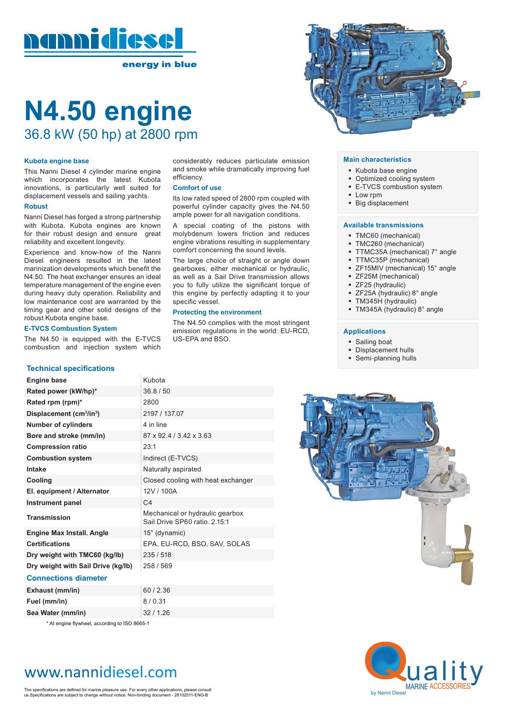

# **N4.50 engine**  36.8 kW (50 hp) at 2800 rpm

#### **Kubota engine base**

This Nanni Diesel 4 cylinder marine engine which incorporates the latest Kubota innovations, is particularly well suited for displacement vessels and sailing yachts.

#### **Robust**

Nanni Diesel has forged a strong partnership with Kubota. Kubota engines are known for their robust design and ensure great reliability and excellent longevity.

Experience and know-how of the Nanni Diesel engineers resulted in the latest marinization developments which benefit the N4.50. The heat exchanger ensures an ideal temperature management of the engine even during heavy duty operation. Reliability and low maintenance cost are warranted by the timing gear and other solid designs of the robust Kubota engine base.

#### **E-TVCS Combustion System**

The N4.50 is equipped with the E-TVCS combustion and injection system which

#### **Technical specifications**

considerably reduces particulate emission and smoke while dramatically improving fuel efficiency.

#### **Comfort of use**

Its low rated speed of 2800 rpm coupled with powerful cylinder capacity gives the N4.50 ample power for all navigation conditions.

A special coating of the pistons with molybdenum lowers friction and reduces engine vibrations resulting in supplementary comfort concerning the sound levels.

The large choice of straight or angle down gearboxes, either mechanical or hydraulic, as well as a Sail Drive transmission allows you to fully utilize the significant torque of this engine by perfectly adapting it to your specific vessel.

#### **Protecting the environment**

The N4.50 complies with the most stringent emission regulations in the world: EU-RCD, US-EPA and BSO.

#### **Main characteristics**

- Kubota base engine
- Optimized cooling system
- E-TVCS combustion system
- Low rpm
- **Big displacement**

#### **Available transmissions**

- TMC60 (mechanical)
- TMC260 (mechanical)
- TTMC35A (mechanical) 7° angle
- TTMC35P (mechanical)
- ZF15MIV (mechanical) 15° angle
- **E** ZF25M (mechanical)
- **E** ZF25 (hydraulic)
- 
- ZF25A (hydraulic) 8° angle
- TM345H (hydraulic)
- TM345A (hydraulic) 8° angle

#### **Applications**

- **Sailing boat**
- Displacement hulls
- Semi-planning hulls



**Fuel (mm/in)** 8 / 0.31

**Sea Water (mm/in)** 32 / 1.26

\* At engine flywheel, according to ISO 8665-1

# www.nannidiesel.com